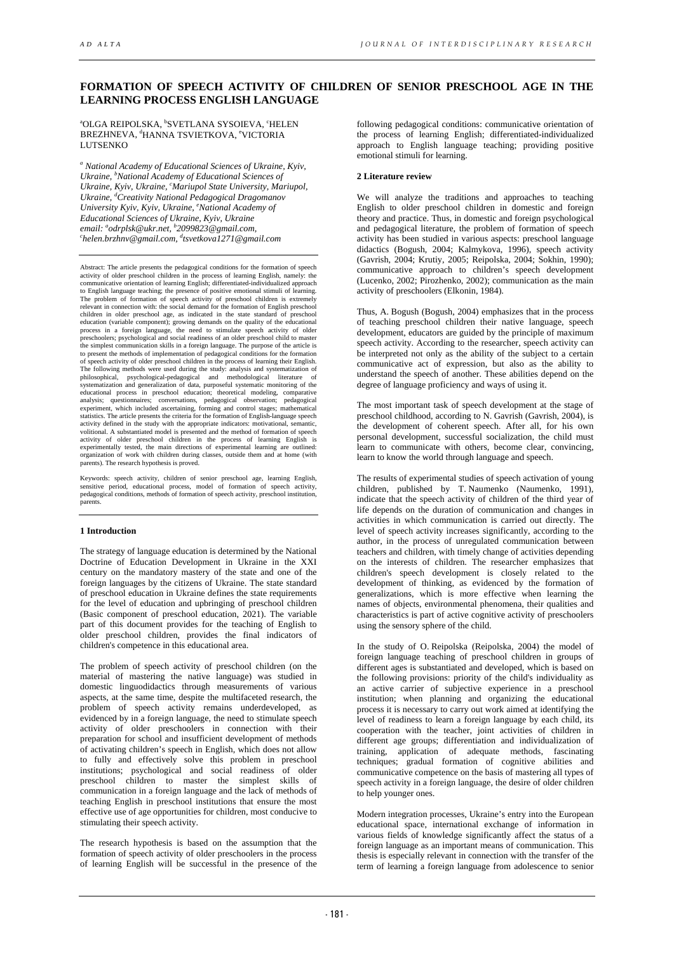# **FORMATION OF SPEECH ACTIVITY OF CHILDREN OF SENIOR PRESCHOOL AGE IN THE LEARNING PROCESS ENGLISH LANGUAGE**

<sup>a</sup>OLGA REIPOLSKA, <sup>b</sup>SVETLANA SYSOIEVA, ʿHELEN BREZHNEVA, <sup>d</sup>HANNA TSVIETKOVA, <sup>e</sup>VICTORIA LUTSENKO

*<sup>a</sup> National Academy of Educational Sciences of Ukraine, Kyiv, Ukraine, b National Academy of Educational Sciences of*  Ukraine, Kyiv, Ukraine, <sup>c</sup>Mariupol State University, Mariupol, *Ukraine, d Creativity National Pedagogical Dragomanov University Kyiv, Kyiv, Ukraine, e National Academy of email: a odrplsk@ukr.net, b 2099823@gmail.com, c Educational Sciences of Ukraine, Kyiv, Ukraine helen.brzhnv@gmail.com, d tsvetkova1271@gmail.com* 

Abstract: The article presents the pedagogical conditions for the formation of speech activity of older preschool children in the process of learning English, namely: the communicative orientation of learning English; differentiated-individualized approach to English language teaching; the presence of positive emotional stimuli of learning.<br>The problem of formation of speech activity of preschool children is extremely<br>relevant in connection with: the social demand for the fo children in older preschool age, as indicated in the state standard of preschool education (variable component); growing demands on the quality of the educational process in a foreign language, the need to stimulate speech activity of older preschoolers; psychological and social readiness of an older p of speech activity of older preschool children in the process of learning their English.<br>The following methods were used during the study: analysis and systematization of<br>philosophical, psychological-pedagogical and method analysis; questionnaires; conversations, pedagogical observation; pedagogical<br>experiment, which included ascertaining, forming and control stages; mathematical<br>statistics. The article presents the criteria for the formatio activity defined in the study with the appropriate indicators: motivational, semantic, volitional. A substantiated model is presented and the method of formation of speech activity of older preschool children in the proces parents). The research hypothesis is proved.

Keywords: speech activity, children of senior preschool age, learning English, sensitive period, educational process, model of formation of speech activity, pedagogical conditions, methods of formation of speech activity, parents.

# **1 Introduction**

The strategy of language education is determined by the National Doctrine of Education Development in Ukraine in the XXI century on the mandatory mastery of the state and one of the foreign languages by the citizens of Ukraine. The state standard of preschool education in Ukraine defines the state requirements for the level of education and upbringing of preschool children (Basic component of preschool education, 2021). The variable part of this document provides for the teaching of English to older preschool children, provides the final indicators of children's competence in this educational area.

The problem of speech activity of preschool children (on the material of mastering the native language) was studied in domestic linguodidactics through measurements of various aspects, at the same time, despite the multifaceted research, the problem of speech activity remains underdeveloped, as evidenced by in a foreign language, the need to stimulate speech activity of older preschoolers in connection with their preparation for school and insufficient development of methods of activating children's speech in English, which does not allow to fully and effectively solve this problem in preschool institutions; psychological and social readiness of older preschool children to master the simplest skills of communication in a foreign language and the lack of methods of teaching English in preschool institutions that ensure the most effective use of age opportunities for children, most conducive to stimulating their speech activity.

The research hypothesis is based on the assumption that the formation of speech activity of older preschoolers in the process of learning English will be successful in the presence of the

following pedagogical conditions: communicative orientation of the process of learning English; differentiated-individualized approach to English language teaching; providing positive emotional stimuli for learning.

### **2 Literature review**

We will analyze the traditions and approaches to teaching English to older preschool children in domestic and foreign theory and practice. Thus, in domestic and foreign psychological and pedagogical literature, the problem of formation of speech activity has been studied in various aspects: preschool language didactics (Bogush, 2004; Kalmykova, 1996), speech activity (Gavrish, 2004; Krutiy, 2005; Reipolska, 2004; Sokhin, 1990); communicative approach to children's speech development (Lucenko, 2002; Pirozhenko, 2002); communication as the main activity of preschoolers (Elkonin, 1984).

Thus, A. Bogush (Bogush, 2004) emphasizes that in the process of teaching preschool children their native language, speech development, educators are guided by the principle of maximum speech activity. According to the researcher, speech activity can be interpreted not only as the ability of the subject to a certain communicative act of expression, but also as the ability to understand the speech of another. These abilities depend on the degree of language proficiency and ways of using it.

The most important task of speech development at the stage of preschool childhood, according to N. Gavrish (Gavrish, 2004), is the development of coherent speech. After all, for his own personal development, successful socialization, the child must learn to communicate with others, become clear, convincing, learn to know the world through language and speech.

The results of experimental studies of speech activation of young children, published by T. Naumenko (Naumenko, 1991), indicate that the speech activity of children of the third year of life depends on the duration of communication and changes in activities in which communication is carried out directly. The level of speech activity increases significantly, according to the author, in the process of unregulated communication between teachers and children, with timely change of activities depending on the interests of children. The researcher emphasizes that children's speech development is closely related to the development of thinking, as evidenced by the formation of generalizations, which is more effective when learning the names of objects, environmental phenomena, their qualities and characteristics is part of active cognitive activity of preschoolers using the sensory sphere of the child.

In the study of O. Reipolska (Reipolska, 2004) the model of foreign language teaching of preschool children in groups of different ages is substantiated and developed, which is based on the following provisions: priority of the child's individuality as an active carrier of subjective experience in a preschool institution; when planning and organizing the educational process it is necessary to carry out work aimed at identifying the level of readiness to learn a foreign language by each child, its cooperation with the teacher, joint activities of children in different age groups; differentiation and individualization of training, application of adequate methods, fascinating techniques; gradual formation of cognitive abilities and communicative competence on the basis of mastering all types of speech activity in a foreign language, the desire of older children to help younger ones.

Modern integration processes, Ukraine's entry into the European educational space, international exchange of information in various fields of knowledge significantly affect the status of a foreign language as an important means of communication. This thesis is especially relevant in connection with the transfer of the term of learning a foreign language from adolescence to senior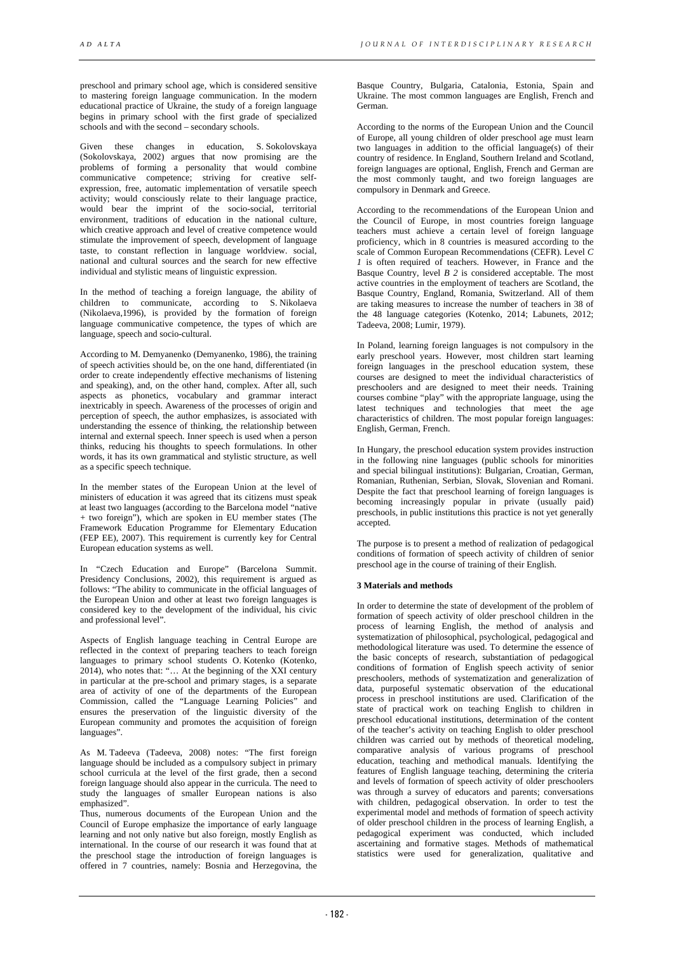preschool and primary school age, which is considered sensitive to mastering foreign language communication. In the modern educational practice of Ukraine, the study of a foreign language begins in primary school with the first grade of specialized schools and with the second – secondary schools.

Given these changes in education, S. Sokolovskaya (Sokolovskaya, 2002) argues that now promising are the problems of forming a personality that would combine communicative competence; striving for creative selfexpression, free, automatic implementation of versatile speech activity; would consciously relate to their language practice, would bear the imprint of the socio-social, territorial environment, traditions of education in the national culture, which creative approach and level of creative competence would stimulate the improvement of speech, development of language taste, to constant reflection in language worldview. social, national and cultural sources and the search for new effective individual and stylistic means of linguistic expression.

In the method of teaching a foreign language, the ability of children to communicate, according to S. Nikolaeva (Nikolaeva,1996), is provided by the formation of foreign language communicative competence, the types of which are language, speech and socio-cultural.

According to M. Demyanenko (Demyanenko, 1986), the training of speech activities should be, on the one hand, differentiated (in order to create independently effective mechanisms of listening and speaking), and, on the other hand, complex. After all, such aspects as phonetics, vocabulary and grammar interact inextricably in speech. Awareness of the processes of origin and perception of speech, the author emphasizes, is associated with understanding the essence of thinking, the relationship between internal and external speech. Inner speech is used when a person thinks, reducing his thoughts to speech formulations. In other words, it has its own grammatical and stylistic structure, as well as a specific speech technique.

In the member states of the European Union at the level of ministers of education it was agreed that its citizens must speak at least two languages (according to the Barcelona model "native + two foreign"), which are spoken in EU member states (The Framework Education Programme for Elementary Education (FEP EE), 2007). This requirement is currently key for Central European education systems as well.

In "Czech Education and Europe" (Barcelona Summit. Presidency Conclusions, 2002), this requirement is argued as follows: "The ability to communicate in the official languages of the European Union and other at least two foreign languages is considered key to the development of the individual, his civic and professional level".

Aspects of English language teaching in Central Europe are reflected in the context of preparing teachers to teach foreign languages to primary school students O. Kotenko (Kotenko, 2014), who notes that: "... At the beginning of the XXI century in particular at the pre-school and primary stages, is a separate area of activity of one of the departments of the European Commission, called the "Language Learning Policies" and ensures the preservation of the linguistic diversity of the European community and promotes the acquisition of foreign languages".

As M. Tadeeva (Tadeeva, 2008) notes: "The first foreign language should be included as a compulsory subject in primary school curricula at the level of the first grade, then a second foreign language should also appear in the curricula. The need to study the languages of smaller European nations is also emphasized".

Thus, numerous documents of the European Union and the Council of Europe emphasize the importance of early language learning and not only native but also foreign, mostly English as international. In the course of our research it was found that at the preschool stage the introduction of foreign languages is offered in 7 countries, namely: Bosnia and Herzegovina, the

Basque Country, Bulgaria, Catalonia, Estonia, Spain and Ukraine. The most common languages are English, French and German.

According to the norms of the European Union and the Council of Europe, all young children of older preschool age must learn two languages in addition to the official language(s) of their country of residence. In England, Southern Ireland and Scotland, foreign languages are optional, English, French and German are the most commonly taught, and two foreign languages are compulsory in Denmark and Greece.

According to the recommendations of the European Union and the Council of Europe, in most countries foreign language teachers must achieve a certain level of foreign language proficiency, which in 8 countries is measured according to the scale of Common European Recommendations (CEFR). Level *C 1* is often required of teachers. However, in France and the Basque Country, level *B 2* is considered acceptable. The most active countries in the employment of teachers are Scotland, the Basque Country, England, Romania, Switzerland. All of them are taking measures to increase the number of teachers in 38 of the 48 language categories (Kotenko, 2014; Labunets, 2012; Tadeeva, 2008; Lumir, 1979).

In Poland, learning foreign languages is not compulsory in the early preschool years. However, most children start learning foreign languages in the preschool education system, these courses are designed to meet the individual characteristics of preschoolers and are designed to meet their needs. Training courses combine "play" with the appropriate language, using the latest techniques and technologies that meet the age characteristics of children. The most popular foreign languages: English, German, French.

In Hungary, the preschool education system provides instruction in the following nine languages (public schools for minorities and special bilingual institutions): Bulgarian, Croatian, German, Romanian, Ruthenian, Serbian, Slovak, Slovenian and Romani. Despite the fact that preschool learning of foreign languages is becoming increasingly popular in private (usually paid) preschools, in public institutions this practice is not yet generally accepted.

The purpose is to present a method of realization of pedagogical conditions of formation of speech activity of children of senior preschool age in the course of training of their English.

# **3 Materials and methods**

In order to determine the state of development of the problem of formation of speech activity of older preschool children in the process of learning English, the method of analysis and systematization of philosophical, psychological, pedagogical and methodological literature was used. To determine the essence of the basic concepts of research, substantiation of pedagogical conditions of formation of English speech activity of senior preschoolers, methods of systematization and generalization of data, purposeful systematic observation of the educational process in preschool institutions are used. Clarification of the state of practical work on teaching English to children in preschool educational institutions, determination of the content of the teacher's activity on teaching English to older preschool children was carried out by methods of theoretical modeling, comparative analysis of various programs of preschool education, teaching and methodical manuals. Identifying the features of English language teaching, determining the criteria and levels of formation of speech activity of older preschoolers was through a survey of educators and parents; conversations with children, pedagogical observation. In order to test the experimental model and methods of formation of speech activity of older preschool children in the process of learning English, a pedagogical experiment was conducted, which included ascertaining and formative stages. Methods of mathematical statistics were used for generalization, qualitative and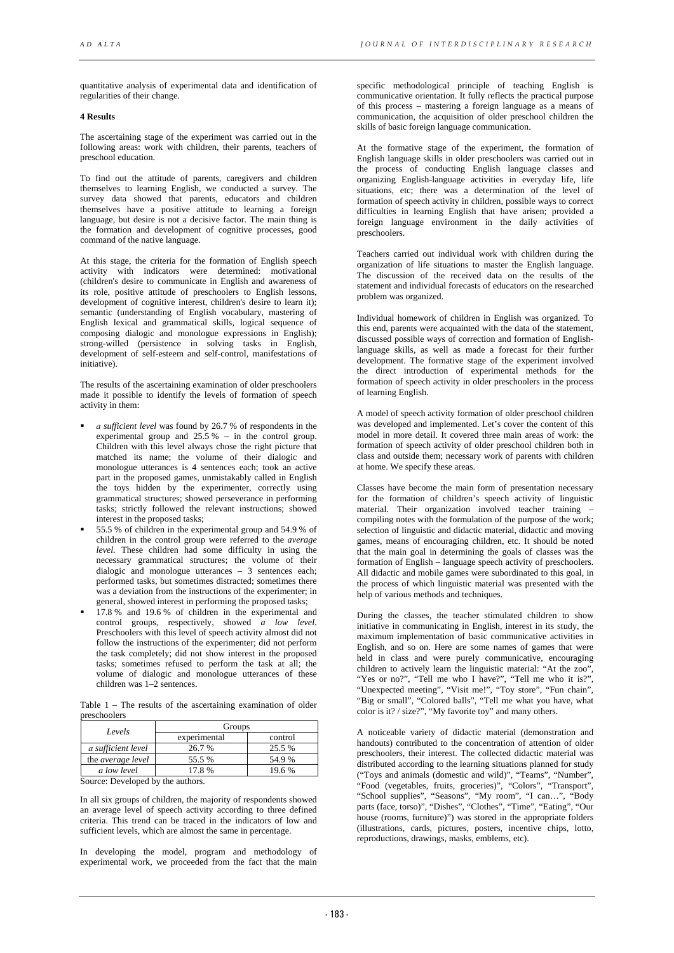quantitative analysis of experimental data and identification of regularities of their change.

# **4 Results**

The ascertaining stage of the experiment was carried out in the following areas: work with children, their parents, teachers of preschool education.

To find out the attitude of parents, caregivers and children themselves to learning English, we conducted a survey. The survey data showed that parents, educators and children themselves have a positive attitude to learning a foreign language, but desire is not a decisive factor. The main thing is the formation and development of cognitive processes, good command of the native language.

At this stage, the criteria for the formation of English speech activity with indicators were determined: motivational (children's desire to communicate in English and awareness of its role, positive attitude of preschoolers to English lessons, development of cognitive interest, children's desire to learn it); semantic (understanding of English vocabulary, mastering of English lexical and grammatical skills, logical sequence of composing dialogic and monologue expressions in English); strong-willed (persistence in solving tasks in English, development of self-esteem and self-control, manifestations of initiative).

The results of the ascertaining examination of older preschoolers made it possible to identify the levels of formation of speech activity in them:

- *а sufficient level* was found by 26.7 % of respondents in the experimental group and  $25.5\%$  – in the control group. Children with this level always chose the right picture that matched its name; the volume of their dialogic and monologue utterances is 4 sentences each; took an active part in the proposed games, unmistakably called in English the toys hidden by the experimenter, correctly using grammatical structures; showed perseverance in performing tasks; strictly followed the relevant instructions; showed interest in the proposed tasks;
- 55.5 % of children in the experimental group and 54.9 % of children in the control group were referred to the *average level.* These children had some difficulty in using the necessary grammatical structures; the volume of their dialogic and monologue utterances – 3 sentences each; performed tasks, but sometimes distracted; sometimes there was a deviation from the instructions of the experimenter; in general, showed interest in performing the proposed tasks;
- 17.8 % and 19.6 % of children in the experimental and control groups, respectively, showed *a low level*. Preschoolers with this level of speech activity almost did not follow the instructions of the experimenter; did not perform the task completely; did not show interest in the proposed tasks; sometimes refused to perform the task at all; the volume of dialogic and monologue utterances of these children was 1–2 sentences.

Table 1 – The results of the ascertaining examination of older preschoolers

| Levels                   | Groups       |         |
|--------------------------|--------------|---------|
|                          | experimental | control |
| a sufficient level       | 26.7 %       | 25.5 %  |
| the <i>average</i> level | 55.5 %       | 54.9%   |
| a low level              | 17.8%        | 19.6 %  |

Source: Developed by the authors.

In all six groups of children, the majority of respondents showed an average level of speech activity according to three defined criteria. This trend can be traced in the indicators of low and sufficient levels, which are almost the same in percentage.

In developing the model, program and methodology of experimental work, we proceeded from the fact that the main

specific methodological principle of teaching English is communicative orientation. It fully reflects the practical purpose of this process – mastering a foreign language as a means of communication, the acquisition of older preschool children the skills of basic foreign language communication.

At the formative stage of the experiment, the formation of English language skills in older preschoolers was carried out in the process of conducting English language classes and organizing English-language activities in everyday life, life situations, etc; there was a determination of the level of formation of speech activity in children, possible ways to correct difficulties in learning English that have arisen; provided a foreign language environment in the daily activities of preschoolers.

Teachers carried out individual work with children during the organization of life situations to master the English language. The discussion of the received data on the results of the statement and individual forecasts of educators on the researched problem was organized.

Individual homework of children in English was organized. To this end, parents were acquainted with the data of the statement, discussed possible ways of correction and formation of Englishlanguage skills, as well as made a forecast for their further development. The formative stage of the experiment involved the direct introduction of experimental methods for the formation of speech activity in older preschoolers in the process of learning English.

A model of speech activity formation of older preschool children was developed and implemented. Let's cover the content of this model in more detail. It covered three main areas of work: the formation of speech activity of older preschool children both in class and outside them; necessary work of parents with children at home. We specify these areas.

Classes have become the main form of presentation necessary for the formation of children's speech activity of linguistic material. Their organization involved teacher training – compiling notes with the formulation of the purpose of the work; selection of linguistic and didactic material, didactic and moving games, means of encouraging children, etc. It should be noted that the main goal in determining the goals of classes was the formation of English – language speech activity of preschoolers. All didactic and mobile games were subordinated to this goal, in the process of which linguistic material was presented with the help of various methods and techniques.

During the classes, the teacher stimulated children to show initiative in communicating in English, interest in its study, the maximum implementation of basic communicative activities in English, and so on. Here are some names of games that were held in class and were purely communicative, encouraging children to actively learn the linguistic material: "At the zoo", "Yes or no?", "Tell me who I have?", "Tell me who it is?", "Unexpected meeting", "Visit me!", "Toy store", "Fun chain", "Big or small", "Colored balls", "Tell me what you have, what color is it? / size?", "My favorite toy" and many others.

A noticeable variety of didactic material (demonstration and handouts) contributed to the concentration of attention of older preschoolers, their interest. The collected didactic material was distributed according to the learning situations planned for study ("Toys and animals (domestic and wild)", "Teams", "Number", "Food (vegetables, fruits, groceries)", "Colors", "Transport", "School supplies", "Seasons", "My room", "I can…", "Body parts (face, torso)", "Dishes", "Clothes", "Time", "Eating", "Our house (rooms, furniture)") was stored in the appropriate folders (illustrations, cards, pictures, posters, incentive chips, lotto, reproductions, drawings, masks, emblems, etc).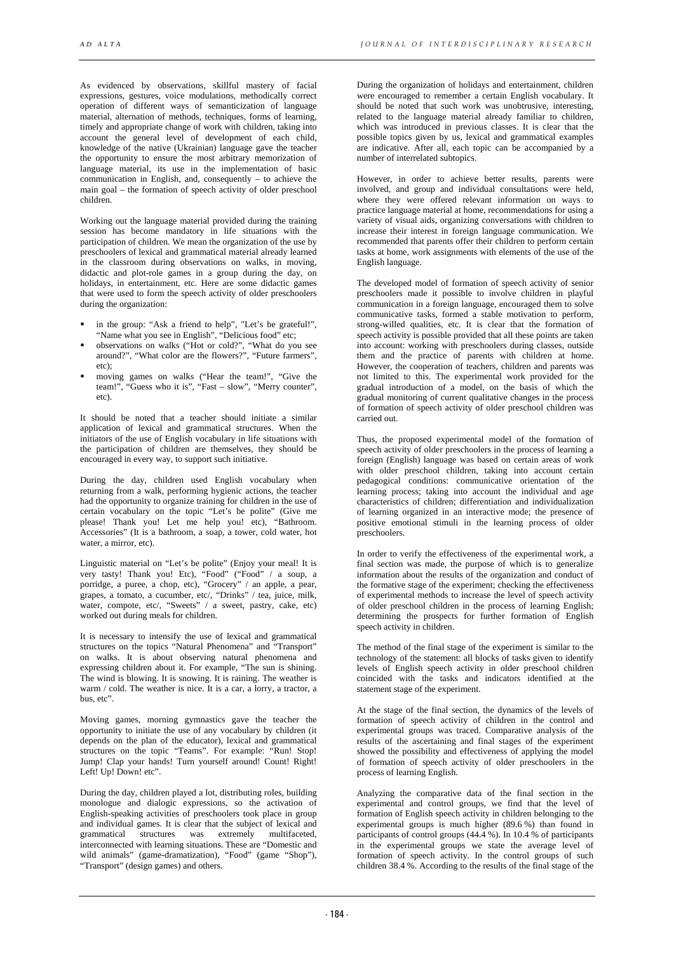As evidenced by observations, skillful mastery of facial expressions, gestures, voice modulations, methodically correct operation of different ways of semanticization of language material, alternation of methods, techniques, forms of learning, timely and appropriate change of work with children, taking into account the general level of development of each child, knowledge of the native (Ukrainian) language gave the teacher the opportunity to ensure the most arbitrary memorization of language material, its use in the implementation of basic communication in English, and, consequently – to achieve the main goal – the formation of speech activity of older preschool children.

Working out the language material provided during the training session has become mandatory in life situations with the participation of children. We mean the organization of the use by preschoolers of lexical and grammatical material already learned in the classroom during observations on walks, in moving, didactic and plot-role games in a group during the day, on holidays, in entertainment, etc. Here are some didactic games that were used to form the speech activity of older preschoolers during the organization:

- in the group: "Ask a friend to help", "Let's be grateful!", "Name what you see in English", "Delicious food" etc;
- observations on walks ("Hot or cold?", "What do you see around?", "What color are the flowers?", "Future farmers", etc);
- moving games on walks ("Hear the team!", "Give the team!", "Guess who it is", "Fast – slow", "Merry counter", etc).

It should be noted that a teacher should initiate a similar application of lexical and grammatical structures. When the initiators of the use of English vocabulary in life situations with the participation of children are themselves, they should be encouraged in every way, to support such initiative.

During the day, children used English vocabulary when returning from a walk, performing hygienic actions, the teacher had the opportunity to organize training for children in the use of certain vocabulary on the topic "Let's be polite" (Give me please! Thank you! Let me help you! etc), "Bathroom. Accessories" (It is a bathroom, a soap, a tower, cold water, hot water, a mirror, etc).

Linguistic material on "Let's be polite" (Enjoy your meal! It is very tasty! Thank you! Etc), "Food" ("Food" / a soup, a porridge, a puree, a chop, etc), "Grocery" / an apple, a pear, grapes, a tomato, a cucumber, etc/, "Drinks" / tea, juice, milk, water, compote, etc/, "Sweets" / a sweet, pastry, cake, etc) worked out during meals for children.

It is necessary to intensify the use of lexical and grammatical structures on the topics "Natural Phenomena" and "Transport" on walks. It is about observing natural phenomena and expressing children about it. For example, "The sun is shining. The wind is blowing. It is snowing. It is raining. The weather is warm / cold. The weather is nice. It is a car, a lorry, a tractor, a bus, etc".

Moving games, morning gymnastics gave the teacher the opportunity to initiate the use of any vocabulary by children (it depends on the plan of the educator), lexical and grammatical structures on the topic "Teams". For example: "Run! Stop! Jump! Clap your hands! Turn yourself around! Count! Right! Left! Up! Down! etc".

During the day, children played a lot, distributing roles, building monologue and dialogic expressions, so the activation of English-speaking activities of preschoolers took place in group and individual games. It is clear that the subject of lexical and grammatical structures was extremely multifaceted, was extremely multifaceted, interconnected with learning situations. These are "Domestic and wild animals" (game-dramatization), "Food" (game "Shop"), "Transport" (design games) and others.

During the organization of holidays and entertainment, children were encouraged to remember a certain English vocabulary. It should be noted that such work was unobtrusive, interesting, related to the language material already familiar to children, which was introduced in previous classes. It is clear that the possible topics given by us, lexical and grammatical examples are indicative. After all, each topic can be accompanied by a number of interrelated subtopics.

However, in order to achieve better results, parents were involved, and group and individual consultations were held, where they were offered relevant information on ways to practice language material at home, recommendations for using a variety of visual aids, organizing conversations with children to increase their interest in foreign language communication. We recommended that parents offer their children to perform certain tasks at home, work assignments with elements of the use of the English language.

The developed model of formation of speech activity of senior preschoolers made it possible to involve children in playful communication in a foreign language, encouraged them to solve communicative tasks, formed a stable motivation to perform, strong-willed qualities, etc. It is clear that the formation of speech activity is possible provided that all these points are taken into account: working with preschoolers during classes, outside them and the practice of parents with children at home. However, the cooperation of teachers, children and parents was not limited to this. The experimental work provided for the gradual introduction of a model, on the basis of which the gradual monitoring of current qualitative changes in the process of formation of speech activity of older preschool children was carried out.

Thus, the proposed experimental model of the formation of speech activity of older preschoolers in the process of learning a foreign (English) language was based on certain areas of work with older preschool children, taking into account certain pedagogical conditions: communicative orientation of the learning process; taking into account the individual and age characteristics of children; differentiation and individualization of learning organized in an interactive mode; the presence of positive emotional stimuli in the learning process of older preschoolers.

In order to verify the effectiveness of the experimental work, a final section was made, the purpose of which is to generalize information about the results of the organization and conduct of the formative stage of the experiment; checking the effectiveness of experimental methods to increase the level of speech activity of older preschool children in the process of learning English; determining the prospects for further formation of English speech activity in children.

The method of the final stage of the experiment is similar to the technology of the statement: all blocks of tasks given to identify levels of English speech activity in older preschool children coincided with the tasks and indicators identified at the statement stage of the experiment.

At the stage of the final section, the dynamics of the levels of formation of speech activity of children in the control and experimental groups was traced. Comparative analysis of the results of the ascertaining and final stages of the experiment showed the possibility and effectiveness of applying the model of formation of speech activity of older preschoolers in the process of learning English.

Analyzing the comparative data of the final section in the experimental and control groups, we find that the level of formation of English speech activity in children belonging to the experimental groups is much higher (89.6 %) than found in participants of control groups (44.4 %). In 10.4 % of participants in the experimental groups we state the average level of formation of speech activity. In the control groups of such children 38.4 %. According to the results of the final stage of the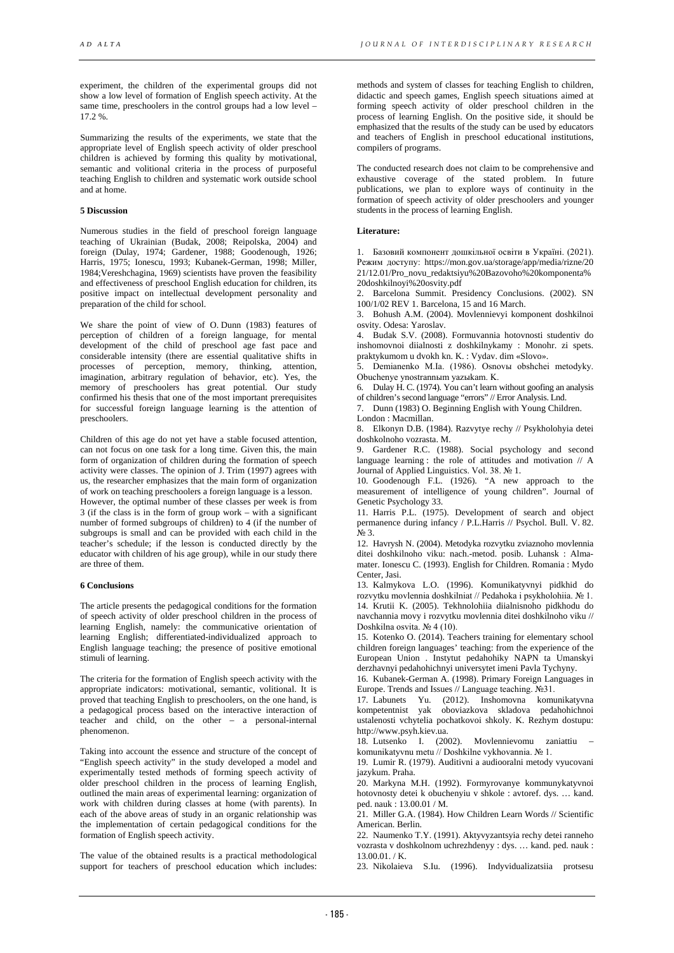experiment, the children of the experimental groups did not show a low level of formation of English speech activity. At the same time, preschoolers in the control groups had a low level – 17.2 %.

Summarizing the results of the experiments, we state that the appropriate level of English speech activity of older preschool children is achieved by forming this quality by motivational, semantic and volitional criteria in the process of purposeful teaching English to children and systematic work outside school and at home.

#### **5 Discussion**

Numerous studies in the field of preschool foreign language teaching of Ukrainian (Budak, 2008; Reipolska, 2004) and foreign (Dulay, 1974; Gardener, 1988; Goodenough, 1926; Harris, 1975; Ionescu, 1993; Kubanek-German, 1998; Miller, 1984;Vereshchagina, 1969) scientists have proven the feasibility and effectiveness of preschool English education for children, its positive impact on intellectual development personality and preparation of the child for school.

We share the point of view of O. Dunn (1983) features of perception of children of a foreign language, for mental development of the child of preschool age fast pace and considerable intensity (there are essential qualitative shifts in processes of perception, memory, thinking, attention, imagination, arbitrary regulation of behavior, etc). Yes, the memory of preschoolers has great potential. Our study confirmed his thesis that one of the most important prerequisites for successful foreign language learning is the attention of preschoolers.

Children of this age do not yet have a stable focused attention, can not focus on one task for a long time. Given this, the main form of organization of children during the formation of speech activity were classes. The opinion of J. Trim (1997) agrees with us, the researcher emphasizes that the main form of organization of work on teaching preschoolers a foreign language is a lesson. However, the optimal number of these classes per week is from 3 (if the class is in the form of group work – with a significant number of formed subgroups of children) to 4 (if the number of subgroups is small and can be provided with each child in the teacher's schedule; if the lesson is conducted directly by the educator with children of his age group), while in our study there are three of them.

#### **6 Conclusions**

The article presents the pedagogical conditions for the formation of speech activity of older preschool children in the process of learning English, namely: the communicative orientation of learning English; differentiated-individualized approach to English language teaching; the presence of positive emotional stimuli of learning.

The criteria for the formation of English speech activity with the appropriate indicators: motivational, semantic, volitional. It is proved that teaching English to preschoolers, on the one hand, is a pedagogical process based on the interactive interaction of teacher and child, on the other – a personal-internal phenomenon.

Taking into account the essence and structure of the concept of "English speech activity" in the study developed a model and experimentally tested methods of forming speech activity of older preschool children in the process of learning English, outlined the main areas of experimental learning: organization of work with children during classes at home (with parents). In each of the above areas of study in an organic relationship was the implementation of certain pedagogical conditions for the formation of English speech activity.

The value of the obtained results is a practical methodological support for teachers of preschool education which includes:

methods and system of classes for teaching English to children, didactic and speech games, English speech situations aimed at forming speech activity of older preschool children in the process of learning English. On the positive side, it should be emphasized that the results of the study can be used by educators and teachers of English in preschool educational institutions, compilers of programs.

The conducted research does not claim to be comprehensive and exhaustive coverage of the stated problem. In future publications, we plan to explore ways of continuity in the formation of speech activity of older preschoolers and younger students in the process of learning English.

### **Literature:**

1. Базовий компонент дошкільної освіти в Україні. (2021). Режим доступу: https://mon.gov.ua/storage/app/media/rizne/20 21/12.01/Pro\_novu\_redaktsiyu%20Bazovoho%20komponenta% 20doshkilnoyi%20osvity.pdf

2. Barcelona Summit. Presidency Conclusions. (2002). SN 100/1/02 REV 1. Barcelona, 15 and 16 March.

3. Bohush A.M. (2004). Movlennievyi komponent doshkilnoi osvity. Odesa: Yaroslav.

4. Budak S.V. (2008). Formuvannia hotovnosti studentiv do inshomovnoi diialnosti z doshkilnykamy : Monohr. zi spets. praktykumom u dvokh kn. K. : Vydav. dim «Slovo».

5. Demianenko M.Ia. (1986). Osnovы obshchei metodyky. Obuchenye ynostrannыm yazыkam. K.

6. Dulay H. C. (1974). You can't learn without goofing an analysis of children's second language "errors" // Error Analysis. Lnd.

7. Dunn (1983) O. Beginning English with Young Children.

London : Macmillan. 8. Elkonyn D.B. (1984). Razvytye rechy // Psykholohyia detei

doshkolnoho vozrasta. M. 9. Gardener R.C. (1988). Social psychology and second language learning : the role of attitudes and motivation // A

Journal of Applied Linguistics. Vol. 38. № 1. 10. Goodenough F.L. (1926). "A new approach to the

measurement of intelligence of young children". Journal of Genetic Psychology 33. 11. Harris P.L. (1975). Development of search and object

permanence during infancy / P.L.Harris // Psychol. Bull. V. 82. № 3.

12. Havrysh N. (2004). Metodyka rozvytku zviaznoho movlennia ditei doshkilnoho viku: nach.-metod. posib. Luhansk : Almamater. Ionescu C. (1993). English for Children. Romania : Mydo Center, Jasi.

13. Kalmykova L.O. (1996). Komunikatyvnyi pidkhid do rozvytku movlennia doshkilniat // Pedahoka i psykholohiia. № 1. 14. Krutii K. (2005). Tekhnolohiia diialnisnoho pidkhodu do navchannia movy i rozvytku movlennia ditei doshkilnoho viku // Doshkilna osvita. № 4 (10).

15. Kotenko O. (2014). Teachers training for elementary school children foreign languages' teaching: from the experience of the European Union . Instytut pedahohiky NAPN ta Umanskyi derzhavnyi pedahohichnyi universytet imeni Pavla Tychyny.

16. Kubanek-German A. (1998). Primary Foreign Languages in Europe. Trends and Issues // Language teaching. №31.

17. Labunets Yu. (2012). Inshomovna komunikatyvna kompetentnist yak oboviazkova skladova pedahohichnoi ustalenosti vchytelia pochatkovoi shkoly. K. Rezhym dostupu: http://www.psyh.kiev.ua.

18. Lutsenko I. (2002). Movlennievomu zaniattiu – komunikatyvnu metu // Doshkilne vykhovannia. № 1.

19. Lumir R. (1979). Auditivni a audiooralni metody vyucovani jazykum. Praha.

20. Markyna M.H. (1992). Formyrovanye kommunykatyvnoi hotovnosty detei k obuchenyiu v shkole : avtoref. dys. … kand. ped. nauk : 13.00.01 / M.

21. Miller G.A. (1984). How Children Learn Words // Scientific American. Berlin.

22. Naumenko T.Y. (1991). Aktyvyzantsyia rechy detei ranneho vozrasta v doshkolnom uchrezhdenyy : dys. … kand. ped. nauk :  $13.00.01 / K$ 

23. Nikolaieva S.Iu. (1996). Indyvidualizatsiia protsesu